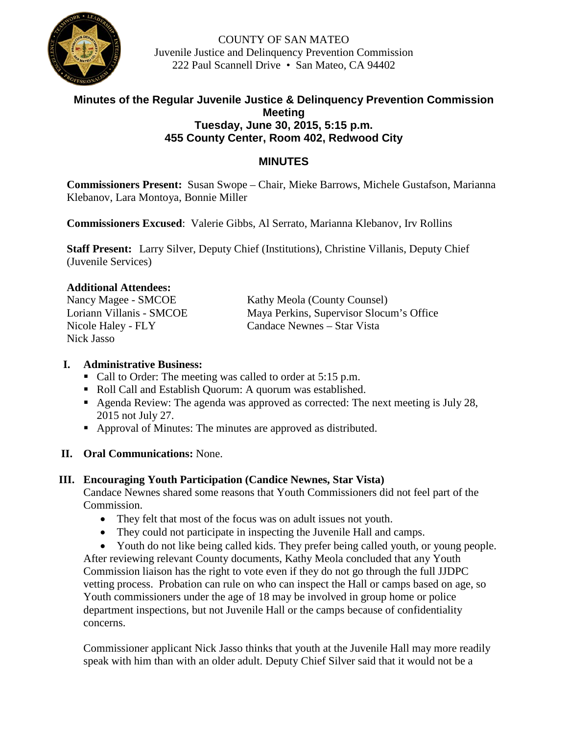

COUNTY OF SAN MATEO Juvenile Justice and Delinquency Prevention Commission 222 Paul Scannell Drive • San Mateo, CA 94402

# **Minutes of the Regular Juvenile Justice & Delinquency Prevention Commission Meeting Tuesday, June 30, 2015, 5:15 p.m. 455 County Center, Room 402, Redwood City**

# **MINUTES**

**Commissioners Present:** Susan Swope – Chair, Mieke Barrows, Michele Gustafson, Marianna Klebanov, Lara Montoya, Bonnie Miller

**Commissioners Excused**: Valerie Gibbs, Al Serrato, Marianna Klebanov, Irv Rollins

**Staff Present:** Larry Silver, Deputy Chief (Institutions), Christine Villanis, Deputy Chief (Juvenile Services)

#### **Additional Attendees:**

Nick Jasso

Nancy Magee - SMCOE Kathy Meola (County Counsel) Loriann Villanis - SMCOE Maya Perkins, Supervisor Slocum's Office Nicole Haley - FLY Candace Newnes – Star Vista

## **I. Administrative Business:**

- Call to Order: The meeting was called to order at 5:15 p.m.
- Roll Call and Establish Quorum: A quorum was established.
- Agenda Review: The agenda was approved as corrected: The next meeting is July 28, 2015 not July 27.
- Approval of Minutes: The minutes are approved as distributed.
- **II. Oral Communications:** None.

## **III. Encouraging Youth Participation (Candice Newnes, Star Vista)**

Candace Newnes shared some reasons that Youth Commissioners did not feel part of the Commission.

- They felt that most of the focus was on adult issues not youth.
- They could not participate in inspecting the Juvenile Hall and camps.
- Youth do not like being called kids. They prefer being called youth, or young people.

After reviewing relevant County documents, Kathy Meola concluded that any Youth Commission liaison has the right to vote even if they do not go through the full JJDPC vetting process. Probation can rule on who can inspect the Hall or camps based on age, so Youth commissioners under the age of 18 may be involved in group home or police department inspections, but not Juvenile Hall or the camps because of confidentiality concerns.

Commissioner applicant Nick Jasso thinks that youth at the Juvenile Hall may more readily speak with him than with an older adult. Deputy Chief Silver said that it would not be a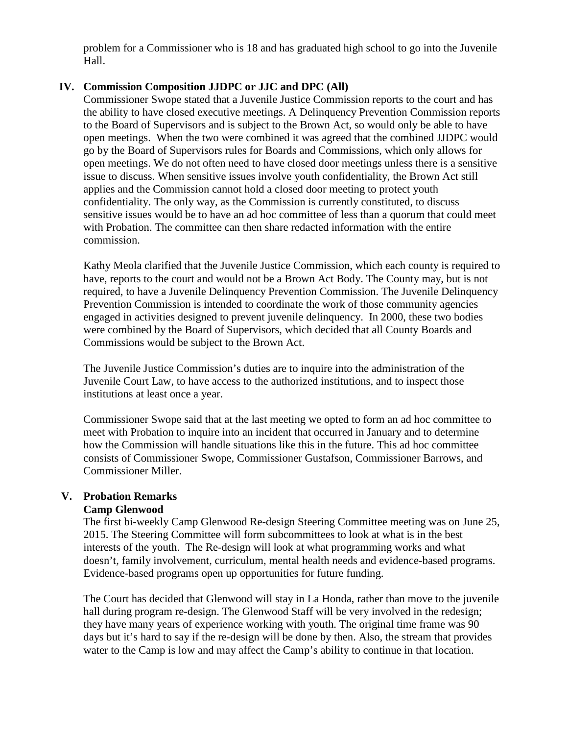problem for a Commissioner who is 18 and has graduated high school to go into the Juvenile Hall.

## **IV. Commission Composition JJDPC or JJC and DPC (All)**

Commissioner Swope stated that a Juvenile Justice Commission reports to the court and has the ability to have closed executive meetings. A Delinquency Prevention Commission reports to the Board of Supervisors and is subject to the Brown Act, so would only be able to have open meetings. When the two were combined it was agreed that the combined JJDPC would go by the Board of Supervisors rules for Boards and Commissions, which only allows for open meetings. We do not often need to have closed door meetings unless there is a sensitive issue to discuss. When sensitive issues involve youth confidentiality, the Brown Act still applies and the Commission cannot hold a closed door meeting to protect youth confidentiality. The only way, as the Commission is currently constituted, to discuss sensitive issues would be to have an ad hoc committee of less than a quorum that could meet with Probation. The committee can then share redacted information with the entire commission.

Kathy Meola clarified that the Juvenile Justice Commission, which each county is required to have, reports to the court and would not be a Brown Act Body. The County may, but is not required, to have a Juvenile Delinquency Prevention Commission. The Juvenile Delinquency Prevention Commission is intended to coordinate the work of those community agencies engaged in activities designed to prevent juvenile delinquency. In 2000, these two bodies were combined by the Board of Supervisors, which decided that all County Boards and Commissions would be subject to the Brown Act.

The Juvenile Justice Commission's duties are to inquire into the administration of the Juvenile Court Law, to have access to the authorized institutions, and to inspect those institutions at least once a year.

Commissioner Swope said that at the last meeting we opted to form an ad hoc committee to meet with Probation to inquire into an incident that occurred in January and to determine how the Commission will handle situations like this in the future. This ad hoc committee consists of Commissioner Swope, Commissioner Gustafson, Commissioner Barrows, and Commissioner Miller.

#### **V. Probation Remarks Camp Glenwood**

The first bi-weekly Camp Glenwood Re-design Steering Committee meeting was on June 25, 2015. The Steering Committee will form subcommittees to look at what is in the best interests of the youth. The Re-design will look at what programming works and what doesn't, family involvement, curriculum, mental health needs and evidence-based programs. Evidence-based programs open up opportunities for future funding.

The Court has decided that Glenwood will stay in La Honda, rather than move to the juvenile hall during program re-design. The Glenwood Staff will be very involved in the redesign; they have many years of experience working with youth. The original time frame was 90 days but it's hard to say if the re-design will be done by then. Also, the stream that provides water to the Camp is low and may affect the Camp's ability to continue in that location.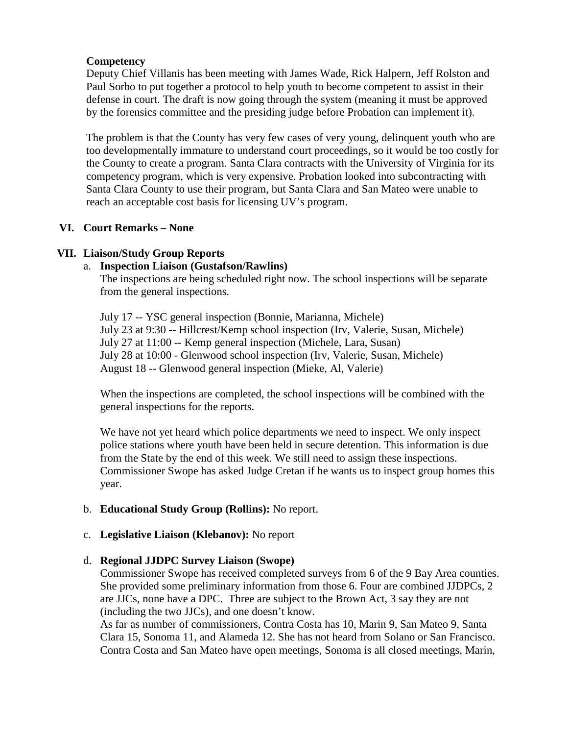## **Competency**

Deputy Chief Villanis has been meeting with James Wade, Rick Halpern, Jeff Rolston and Paul Sorbo to put together a protocol to help youth to become competent to assist in their defense in court. The draft is now going through the system (meaning it must be approved by the forensics committee and the presiding judge before Probation can implement it).

The problem is that the County has very few cases of very young, delinquent youth who are too developmentally immature to understand court proceedings, so it would be too costly for the County to create a program. Santa Clara contracts with the University of Virginia for its competency program, which is very expensive. Probation looked into subcontracting with Santa Clara County to use their program, but Santa Clara and San Mateo were unable to reach an acceptable cost basis for licensing UV's program.

## **VI. Court Remarks – None**

## **VII. Liaison/Study Group Reports**

## a. **Inspection Liaison (Gustafson/Rawlins)**

The inspections are being scheduled right now. The school inspections will be separate from the general inspections.

July 17 -- YSC general inspection (Bonnie, Marianna, Michele) July 23 at 9:30 -- Hillcrest/Kemp school inspection (Irv, Valerie, Susan, Michele) July 27 at 11:00 -- Kemp general inspection (Michele, Lara, Susan) July 28 at 10:00 - Glenwood school inspection (Irv, Valerie, Susan, Michele) August 18 -- Glenwood general inspection (Mieke, Al, Valerie)

When the inspections are completed, the school inspections will be combined with the general inspections for the reports.

We have not yet heard which police departments we need to inspect. We only inspect police stations where youth have been held in secure detention. This information is due from the State by the end of this week. We still need to assign these inspections. Commissioner Swope has asked Judge Cretan if he wants us to inspect group homes this year.

## b. **Educational Study Group (Rollins):** No report.

## c. **Legislative Liaison (Klebanov):** No report

## d. **Regional JJDPC Survey Liaison (Swope)**

Commissioner Swope has received completed surveys from 6 of the 9 Bay Area counties. She provided some preliminary information from those 6. Four are combined JJDPCs, 2 are JJCs, none have a DPC. Three are subject to the Brown Act, 3 say they are not (including the two JJCs), and one doesn't know.

As far as number of commissioners, Contra Costa has 10, Marin 9, San Mateo 9, Santa Clara 15, Sonoma 11, and Alameda 12. She has not heard from Solano or San Francisco. Contra Costa and San Mateo have open meetings, Sonoma is all closed meetings, Marin,